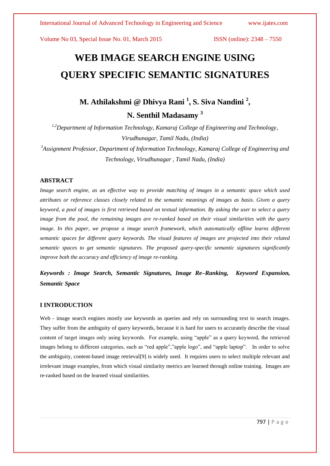# **WEB IMAGE SEARCH ENGINE USING QUERY SPECIFIC SEMANTIC SIGNATURES**

**M. Athilakshmi @ Dhivya Rani <sup>1</sup> , S. Siva Nandini <sup>2</sup> ,**

**N. Senthil Madasamy <sup>3</sup>**

*1,2Department of Information Technology, Kamaraj College of Engineering and Technology, Virudhunagar, Tamil Nadu, (India) <sup>3</sup>Assignment Professor, Department of Information Technology, Kamaraj College of Engineering and* 

*Technology, Virudhunagar , Tamil Nadu, (India)*

# **ABSTRACT**

*Image search engine, as an effective way to provide matching of images in a semantic space which used attributes or reference classes closely related to the semantic meanings of images as basis. Given a query keyword, a pool of images is first retrieved based on textual information. By asking the user to select a query image from the pool, the remaining images are re-ranked based on their visual similarities with the query image. In this paper, we propose a image search framework, which automatically offline learns different semantic spaces for different query keywords. The visual features of images are projected into their related semantic spaces to get semantic signatures. The proposed query-specific semantic signatures significantly improve both the accuracy and efficiency of image re-ranking.* 

*Keywords : Image Search, Semantic Signatures, Image Re–Ranking, Keyword Expansion, Semantic Space*

### **I INTRODUCTION**

Web - image search engines mostly use keywords as queries and rely on surrounding text to search images. They suffer from the ambiguity of query keywords, because it is hard for users to accurately describe the visual content of target images only using keywords. For example, using "apple" as a query keyword, the retrieved images belong to different categories, such as "red apple","apple logo", and "apple laptop". In order to solve the ambiguity, content-based image retrieval[9] is widely used. It requires users to select multiple relevant and irrelevant image examples, from which visual similarity metrics are learned through online training. Images are re-ranked based on the learned visual similarities.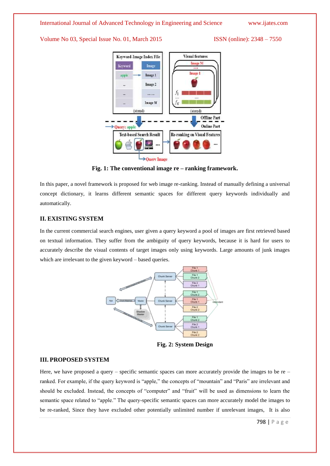



**Fig. 1: The conventional image re – ranking framework.**

In this paper, a novel framework is proposed for web image re-ranking. Instead of manually defining a universal concept dictionary, it learns different semantic spaces for different query keywords individually and automatically.

# **II. EXISTING SYSTEM**

In the current commercial search engines, user given a query keyword a pool of images are first retrieved based on textual information. They suffer from the ambiguity of query keywords, because it is hard for users to accurately describe the visual contents of target images only using keywords. Large amounts of junk images which are irrelevant to the given keyword – based queries.



**Fig. 2: System Design**

# **III. PROPOSED SYSTEM**

Here, we have proposed a query – specific semantic spaces can more accurately provide the images to be re – ranked. For example, if the query keyword is "apple," the concepts of "mountain" and "Paris" are irrelevant and should be excluded. Instead, the concepts of "computer" and "fruit" will be used as dimensions to learn the semantic space related to "apple." The query-specific semantic spaces can more accurately model the images to be re-ranked, Since they have excluded other potentially unlimited number if unrelevant images, It is also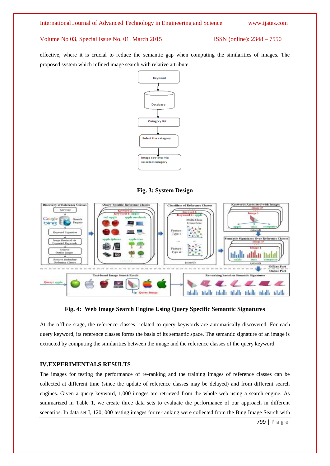effective, where it is crucial to reduce the semantic gap when computing the similarities of images. The proposed system which refined image search with relative attribute.



**Fig. 3: System Design**



**Fig. 4: Web Image Search Engine Using Query Specific Semantic Signatures**

At the offline stage, the reference classes related to query keywords are automatically discovered. For each query keyword, its reference classes forms the basis of its semantic space. The semantic signature of an image is extracted by computing the similarities between the image and the reference classes of the query keyword.

### **IV.EXPERIMENTALS RESULTS**

The images for testing the performance of re-ranking and the training images of reference classes can be collected at different time (since the update of reference classes may be delayed) and from different search engines. Given a query keyword, 1,000 images are retrieved from the whole web using a search engine. As summarized in Table 1, we create three data sets to evaluate the performance of our approach in different scenarios. In data set I, 120; 000 testing images for re-ranking were collected from the Bing Image Search with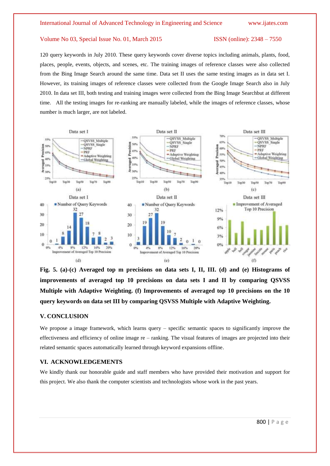120 query keywords in July 2010. These query keywords cover diverse topics including animals, plants, food, places, people, events, objects, and scenes, etc. The training images of reference classes were also collected from the Bing Image Search around the same time. Data set II uses the same testing images as in data set I. However, its training images of reference classes were collected from the Google Image Search also in July 2010. In data set III, both testing and training images were collected from the Bing Image Searchbut at different time. All the testing images for re-ranking are manually labeled, while the images of reference classes, whose number is much larger, are not labeled.



**Fig. 5. (a)-(c) Averaged top m precisions on data sets I, II, III. (d) and (e) Histograms of improvements of averaged top 10 precisions on data sets I and II by comparing QSVSS Multiple with Adaptive Weighting. (f) Improvements of averaged top 10 precisions on the 10 query keywords on data set III by comparing QSVSS Multiple with Adaptive Weighting.**

#### **V. CONCLUSION**

We propose a image framework, which learns query – specific semantic spaces to significantly improve the effectiveness and efficiency of online image re – ranking. The visual features of images are projected into their related semantic spaces automatically learned through keyword expansions offline.

# **VI. ACKNOWLEDGEMENTS**

We kindly thank our honorable guide and staff members who have provided their motivation and support for this project. We also thank the computer scientists and technologists whose work in the past years.